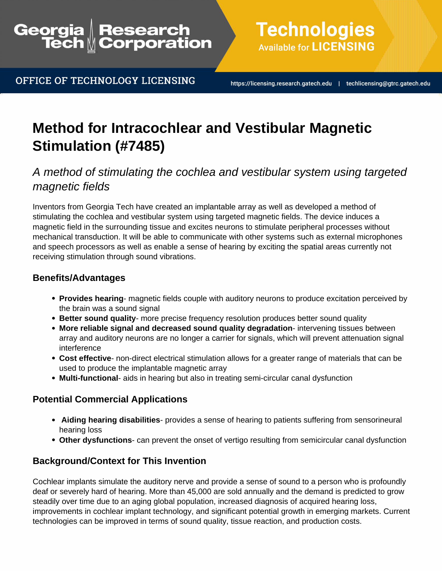## Research<br>Corporation Georgia

OFFICE OF TECHNOLOGY LICENSING

**Technologies Available for LICENSING** 

https://licensing.research.gatech.edu | techlicensing@gtrc.gatech.edu

# **Method for Intracochlear and Vestibular Magnetic Stimulation (#7485)**

## A method of stimulating the cochlea and vestibular system using targeted magnetic fields

Inventors from Georgia Tech have created an implantable array as well as developed a method of stimulating the cochlea and vestibular system using targeted magnetic fields. The device induces a magnetic field in the surrounding tissue and excites neurons to stimulate peripheral processes without mechanical transduction. It will be able to communicate with other systems such as external microphones and speech processors as well as enable a sense of hearing by exciting the spatial areas currently not receiving stimulation through sound vibrations.

#### **Benefits/Advantages**

- **Provides hearing** magnetic fields couple with auditory neurons to produce excitation perceived by the brain was a sound signal
- **Better sound quality** more precise frequency resolution produces better sound quality
- **More reliable signal and decreased sound quality degradation** intervening tissues between array and auditory neurons are no longer a carrier for signals, which will prevent attenuation signal interference
- **Cost effective** non-direct electrical stimulation allows for a greater range of materials that can be used to produce the implantable magnetic array
- **Multi-functional** aids in hearing but also in treating semi-circular canal dysfunction

### **Potential Commercial Applications**

- **Aiding hearing disabilities** provides a sense of hearing to patients suffering from sensorineural hearing loss
- **Other dysfunctions** can prevent the onset of vertigo resulting from semicircular canal dysfunction

### **Background/Context for This Invention**

Cochlear implants simulate the auditory nerve and provide a sense of sound to a person who is profoundly deaf or severely hard of hearing. More than 45,000 are sold annually and the demand is predicted to grow steadily over time due to an aging global population, increased diagnosis of acquired hearing loss, improvements in cochlear implant technology, and significant potential growth in emerging markets. Current technologies can be improved in terms of sound quality, tissue reaction, and production costs.